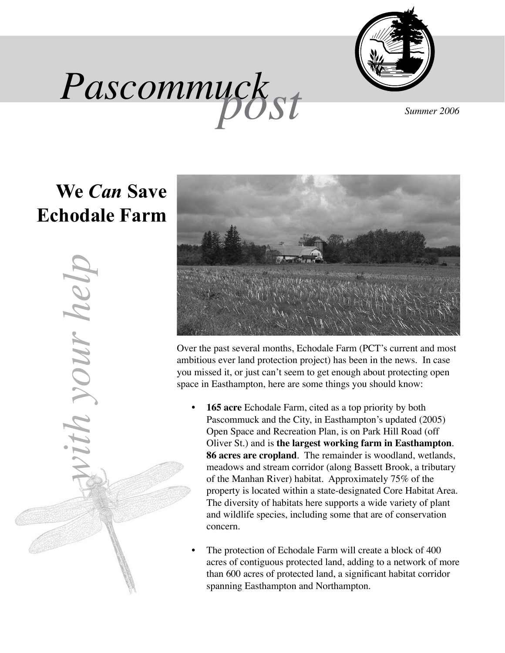



## **We** *Can* **Save Echodale Farm**

*with your help*ith your help



Over the past several months, Echodale Farm (PCT's current and most ambitious ever land protection project) has been in the news. In case you missed it, or just can't seem to get enough about protecting open space in Easthampton, here are some things you should know:

- **• 165 acre** Echodale Farm, cited as a top priority by both Pascommuck and the City, in Easthampton's updated (2005) Open Space and Recreation Plan, is on Park Hill Road (off Oliver St.) and is **the largest working farm in Easthampton**. **86 acres are cropland**. The remainder is woodland, wetlands, meadows and stream corridor (along Bassett Brook, a tributary of the Manhan River) habitat. Approximately 75% of the property is located within a state-designated Core Habitat Area. The diversity of habitats here supports a wide variety of plant and wildlife species, including some that are of conservation concern.
- The protection of Echodale Farm will create a block of 400 acres of contiguous protected land, adding to a network of more than 600 acres of protected land, a significant habitat corridor spanning Easthampton and Northampton.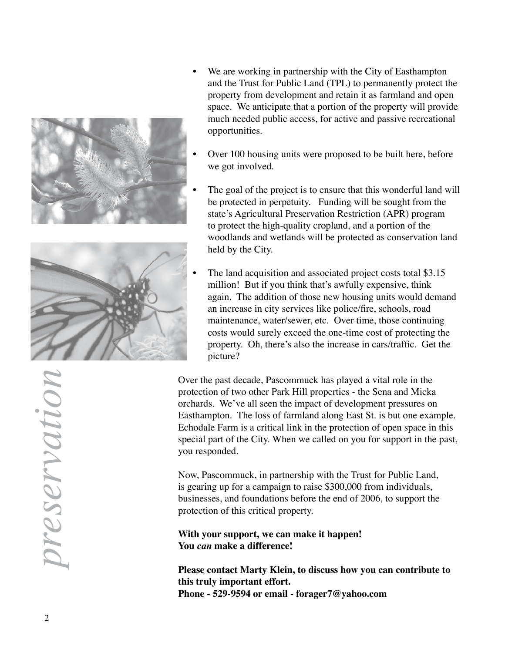



- We are working in partnership with the City of Easthampton and the Trust for Public Land (TPL) to permanently protect the property from development and retain it as farmland and open space. We anticipate that a portion of the property will provide much needed public access, for active and passive recreational opportunities.
- Over 100 housing units were proposed to be built here, before we got involved.
- The goal of the project is to ensure that this wonderful land will be protected in perpetuity. Funding will be sought from the state's Agricultural Preservation Restriction (APR) program to protect the high-quality cropland, and a portion of the woodlands and wetlands will be protected as conservation land held by the City.
- The land acquisition and associated project costs total \$3.15 million! But if you think that's awfully expensive, think again. The addition of those new housing units would demand an increase in city services like police/fire, schools, road maintenance, water/sewer, etc. Over time, those continuing costs would surely exceed the one-time cost of protecting the property. Oh, there's also the increase in cars/traffic. Get the picture?

Over the past decade, Pascommuck has played a vital role in the protection of two other Park Hill properties - the Sena and Micka orchards. We've all seen the impact of development pressures on Easthampton. The loss of farmland along East St. is but one example. Echodale Farm is a critical link in the protection of open space in this special part of the City. When we called on you for support in the past, you responded.

Now, Pascommuck, in partnership with the Trust for Public Land, is gearing up for a campaign to raise \$300,000 from individuals, businesses, and foundations before the end of 2006, to support the protection of this critical property.

**With your support, we can make it happen! You** *can* **make a difference!**

**Please contact Marty Klein, to discuss how you can contribute to this truly important effort. Phone - 529-9594 or email - forager7@yahoo.com**

noitones *preservation*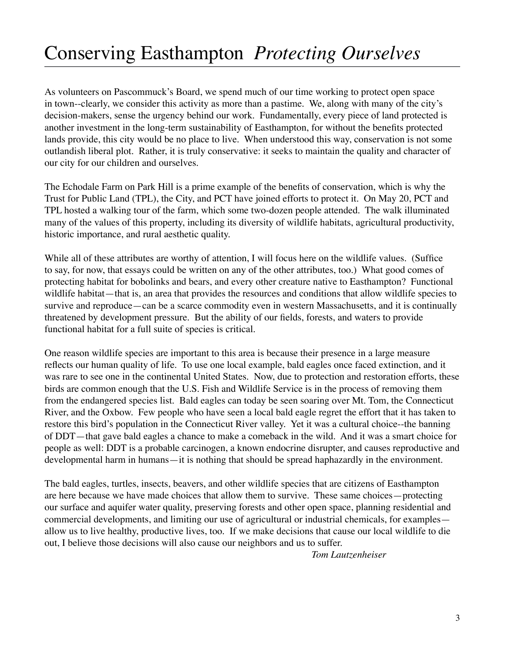## Conserving Easthampton *Protecting Ourselves*

As volunteers on Pascommuck's Board, we spend much of our time working to protect open space in town--clearly, we consider this activity as more than a pastime. We, along with many of the city's decision-makers, sense the urgency behind our work. Fundamentally, every piece of land protected is another investment in the long-term sustainability of Easthampton, for without the benefits protected lands provide, this city would be no place to live. When understood this way, conservation is not some outlandish liberal plot. Rather, it is truly conservative: it seeks to maintain the quality and character of our city for our children and ourselves.

The Echodale Farm on Park Hill is a prime example of the benefits of conservation, which is why the Trust for Public Land (TPL), the City, and PCT have joined efforts to protect it. On May 20, PCT and TPL hosted a walking tour of the farm, which some two-dozen people attended. The walk illuminated many of the values of this property, including its diversity of wildlife habitats, agricultural productivity, historic importance, and rural aesthetic quality.

While all of these attributes are worthy of attention, I will focus here on the wildlife values. (Suffice to say, for now, that essays could be written on any of the other attributes, too.) What good comes of protecting habitat for bobolinks and bears, and every other creature native to Easthampton? Functional wildlife habitat—that is, an area that provides the resources and conditions that allow wildlife species to survive and reproduce—can be a scarce commodity even in western Massachusetts, and it is continually threatened by development pressure. But the ability of our fields, forests, and waters to provide functional habitat for a full suite of species is critical.

One reason wildlife species are important to this area is because their presence in a large measure reflects our human quality of life. To use one local example, bald eagles once faced extinction, and it was rare to see one in the continental United States. Now, due to protection and restoration efforts, these birds are common enough that the U.S. Fish and Wildlife Service is in the process of removing them from the endangered species list. Bald eagles can today be seen soaring over Mt. Tom, the Connecticut River, and the Oxbow. Few people who have seen a local bald eagle regret the effort that it has taken to restore this bird's population in the Connecticut River valley. Yet it was a cultural choice--the banning of DDT—that gave bald eagles a chance to make a comeback in the wild. And it was a smart choice for people as well: DDT is a probable carcinogen, a known endocrine disrupter, and causes reproductive and developmental harm in humans—it is nothing that should be spread haphazardly in the environment.

The bald eagles, turtles, insects, beavers, and other wildlife species that are citizens of Easthampton are here because we have made choices that allow them to survive. These same choices—protecting our surface and aquifer water quality, preserving forests and other open space, planning residential and commercial developments, and limiting our use of agricultural or industrial chemicals, for examples allow us to live healthy, productive lives, too. If we make decisions that cause our local wildlife to die out, I believe those decisions will also cause our neighbors and us to suffer.

 *Tom Lautzenheiser*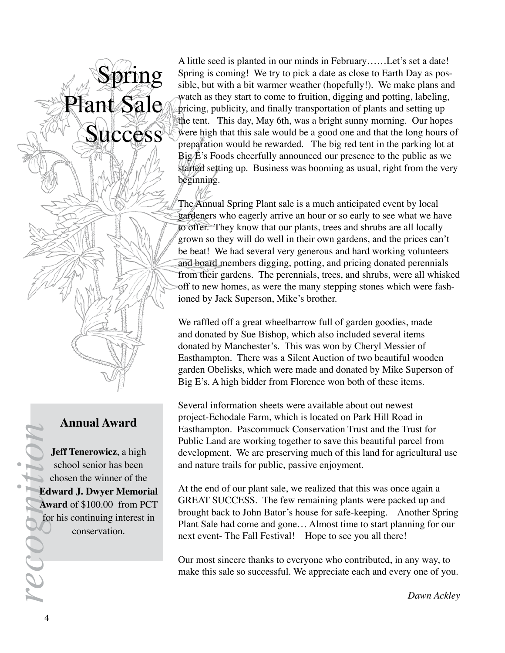#### **Annual Award**

Spring

Plant Sale

**Success** 

**Jeff Tenerowicz**, a high school senior has been chosen the winner of the **Edward J. Dwyer Memorial Award** of \$100.00 from PCT for his continuing interest in conservation.

A little seed is planted in our minds in February……Let's set a date! Spring is coming! We try to pick a date as close to Earth Day as possible, but with a bit warmer weather (hopefully!). We make plans and watch as they start to come to fruition, digging and potting, labeling, pricing, publicity, and finally transportation of plants and setting up the tent. This day, May 6th, was a bright sunny morning. Our hopes were high that this sale would be a good one and that the long hours of preparation would be rewarded. The big red tent in the parking lot at  $Big(E's$  Foods cheerfully announced our presence to the public as we started setting up. Business was booming as usual, right from the very beginning.

The Annual Spring Plant sale is a much anticipated event by local gardeners who eagerly arrive an hour or so early to see what we have to offer. They know that our plants, trees and shrubs are all locally grown so they will do well in their own gardens, and the prices can't be beat! We had several very generous and hard working volunteers and board members digging, potting, and pricing donated perennials from their gardens. The perennials, trees, and shrubs, were all whisked off to new homes, as were the many stepping stones which were fashioned by Jack Superson, Mike's brother.

We raffled off a great wheelbarrow full of garden goodies, made and donated by Sue Bishop, which also included several items donated by Manchester's. This was won by Cheryl Messier of Easthampton. There was a Silent Auction of two beautiful wooden garden Obelisks, which were made and donated by Mike Superson of Big E's. A high bidder from Florence won both of these items.

Several information sheets were available about out newest project-Echodale Farm, which is located on Park Hill Road in Easthampton. Pascommuck Conservation Trust and the Trust for Public Land are working together to save this beautiful parcel from development. We are preserving much of this land for agricultural use and nature trails for public, passive enjoyment.

At the end of our plant sale, we realized that this was once again a GREAT SUCCESS. The few remaining plants were packed up and brought back to John Bator's house for safe-keeping. Another Spring Plant Sale had come and gone… Almost time to start planning for our next event- The Fall Festival! Hope to see you all there!

Our most sincere thanks to everyone who contributed, in any way, to make this sale so successful. We appreciate each and every one of you.

*Dawn Ackley*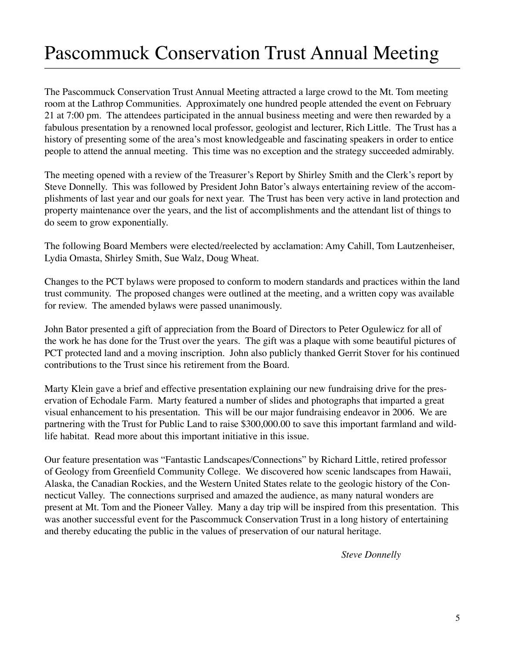# Pascommuck Conservation Trust Annual Meeting

The Pascommuck Conservation Trust Annual Meeting attracted a large crowd to the Mt. Tom meeting room at the Lathrop Communities. Approximately one hundred people attended the event on February 21 at 7:00 pm. The attendees participated in the annual business meeting and were then rewarded by a fabulous presentation by a renowned local professor, geologist and lecturer, Rich Little. The Trust has a history of presenting some of the area's most knowledgeable and fascinating speakers in order to entice people to attend the annual meeting. This time was no exception and the strategy succeeded admirably.

The meeting opened with a review of the Treasurer's Report by Shirley Smith and the Clerk's report by Steve Donnelly. This was followed by President John Bator's always entertaining review of the accomplishments of last year and our goals for next year. The Trust has been very active in land protection and property maintenance over the years, and the list of accomplishments and the attendant list of things to do seem to grow exponentially.

The following Board Members were elected/reelected by acclamation: Amy Cahill, Tom Lautzenheiser, Lydia Omasta, Shirley Smith, Sue Walz, Doug Wheat.

Changes to the PCT bylaws were proposed to conform to modern standards and practices within the land trust community. The proposed changes were outlined at the meeting, and a written copy was available for review. The amended bylaws were passed unanimously.

John Bator presented a gift of appreciation from the Board of Directors to Peter Ogulewicz for all of the work he has done for the Trust over the years. The gift was a plaque with some beautiful pictures of PCT protected land and a moving inscription. John also publicly thanked Gerrit Stover for his continued contributions to the Trust since his retirement from the Board.

Marty Klein gave a brief and effective presentation explaining our new fundraising drive for the preservation of Echodale Farm. Marty featured a number of slides and photographs that imparted a great visual enhancement to his presentation. This will be our major fundraising endeavor in 2006. We are partnering with the Trust for Public Land to raise \$300,000.00 to save this important farmland and wildlife habitat. Read more about this important initiative in this issue.

Our feature presentation was "Fantastic Landscapes/Connections" by Richard Little, retired professor of Geology from Greenfield Community College. We discovered how scenic landscapes from Hawaii, Alaska, the Canadian Rockies, and the Western United States relate to the geologic history of the Connecticut Valley. The connections surprised and amazed the audience, as many natural wonders are present at Mt. Tom and the Pioneer Valley. Many a day trip will be inspired from this presentation. This was another successful event for the Pascommuck Conservation Trust in a long history of entertaining and thereby educating the public in the values of preservation of our natural heritage.

*Steve Donnelly*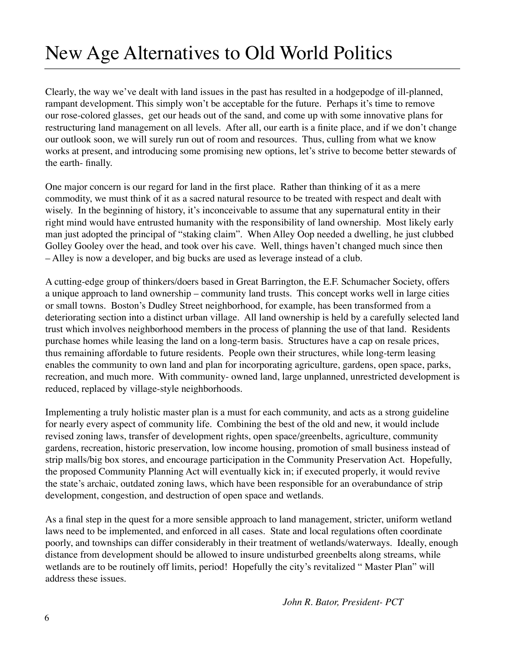# New Age Alternatives to Old World Politics

Clearly, the way we've dealt with land issues in the past has resulted in a hodgepodge of ill-planned, rampant development. This simply won't be acceptable for the future. Perhaps it's time to remove our rose-colored glasses, get our heads out of the sand, and come up with some innovative plans for restructuring land management on all levels. After all, our earth is a finite place, and if we don't change our outlook soon, we will surely run out of room and resources. Thus, culling from what we know works at present, and introducing some promising new options, let's strive to become better stewards of the earth- finally.

One major concern is our regard for land in the first place. Rather than thinking of it as a mere commodity, we must think of it as a sacred natural resource to be treated with respect and dealt with wisely. In the beginning of history, it's inconceivable to assume that any supernatural entity in their right mind would have entrusted humanity with the responsibility of land ownership. Most likely early man just adopted the principal of "staking claim". When Alley Oop needed a dwelling, he just clubbed Golley Gooley over the head, and took over his cave. Well, things haven't changed much since then – Alley is now a developer, and big bucks are used as leverage instead of a club.

A cutting-edge group of thinkers/doers based in Great Barrington, the E.F. Schumacher Society, offers a unique approach to land ownership – community land trusts. This concept works well in large cities or small towns. Boston's Dudley Street neighborhood, for example, has been transformed from a deteriorating section into a distinct urban village. All land ownership is held by a carefully selected land trust which involves neighborhood members in the process of planning the use of that land. Residents purchase homes while leasing the land on a long-term basis. Structures have a cap on resale prices, thus remaining affordable to future residents. People own their structures, while long-term leasing enables the community to own land and plan for incorporating agriculture, gardens, open space, parks, recreation, and much more. With community- owned land, large unplanned, unrestricted development is reduced, replaced by village-style neighborhoods.

Implementing a truly holistic master plan is a must for each community, and acts as a strong guideline for nearly every aspect of community life. Combining the best of the old and new, it would include revised zoning laws, transfer of development rights, open space/greenbelts, agriculture, community gardens, recreation, historic preservation, low income housing, promotion of small business instead of strip malls/big box stores, and encourage participation in the Community Preservation Act. Hopefully, the proposed Community Planning Act will eventually kick in; if executed properly, it would revive the state's archaic, outdated zoning laws, which have been responsible for an overabundance of strip development, congestion, and destruction of open space and wetlands.

As a final step in the quest for a more sensible approach to land management, stricter, uniform wetland laws need to be implemented, and enforced in all cases. State and local regulations often coordinate poorly, and townships can differ considerably in their treatment of wetlands/waterways. Ideally, enough distance from development should be allowed to insure undisturbed greenbelts along streams, while wetlands are to be routinely off limits, period! Hopefully the city's revitalized "Master Plan" will address these issues.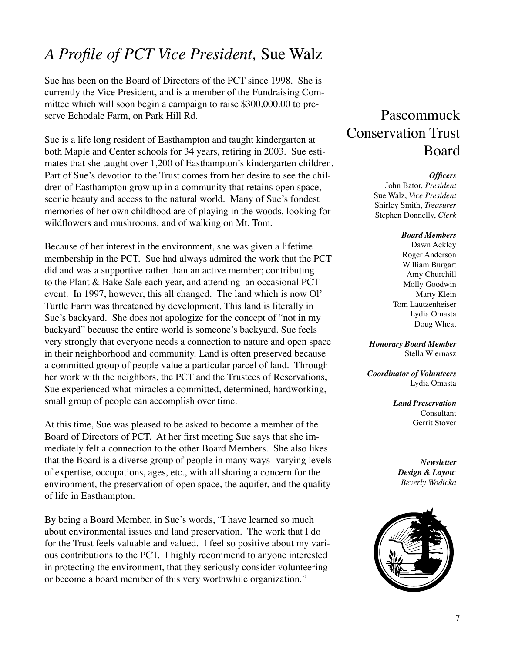### *A Profile of PCT Vice President,* Sue Walz

Sue has been on the Board of Directors of the PCT since 1998. She is currently the Vice President, and is a member of the Fundraising Committee which will soon begin a campaign to raise \$300,000.00 to preserve Echodale Farm, on Park Hill Rd.

Sue is a life long resident of Easthampton and taught kindergarten at both Maple and Center schools for 34 years, retiring in 2003. Sue estimates that she taught over 1,200 of Easthampton's kindergarten children. Part of Sue's devotion to the Trust comes from her desire to see the children of Easthampton grow up in a community that retains open space, scenic beauty and access to the natural world. Many of Sue's fondest memories of her own childhood are of playing in the woods, looking for wildflowers and mushrooms, and of walking on Mt. Tom.

Because of her interest in the environment, she was given a lifetime membership in the PCT. Sue had always admired the work that the PCT did and was a supportive rather than an active member; contributing to the Plant & Bake Sale each year, and attending an occasional PCT event. In 1997, however, this all changed. The land which is now Ol' Turtle Farm was threatened by development. This land is literally in Sue's backyard. She does not apologize for the concept of "not in my backyard" because the entire world is someone's backyard. Sue feels very strongly that everyone needs a connection to nature and open space in their neighborhood and community. Land is often preserved because a committed group of people value a particular parcel of land. Through her work with the neighbors, the PCT and the Trustees of Reservations, Sue experienced what miracles a committed, determined, hardworking, small group of people can accomplish over time.

At this time, Sue was pleased to be asked to become a member of the Board of Directors of PCT. At her first meeting Sue says that she immediately felt a connection to the other Board Members. She also likes that the Board is a diverse group of people in many ways- varying levels of expertise, occupations, ages, etc., with all sharing a concern for the environment, the preservation of open space, the aquifer, and the quality of life in Easthampton.

By being a Board Member, in Sue's words, "I have learned so much about environmental issues and land preservation. The work that I do for the Trust feels valuable and valued. I feel so positive about my various contributions to the PCT. I highly recommend to anyone interested in protecting the environment, that they seriously consider volunteering or become a board member of this very worthwhile organization."

#### Pascommuck Conservation Trust Board

#### *Officers*

John Bator, *President* Sue Walz, *Vice President* Shirley Smith, *Treasurer* Stephen Donnelly, *Clerk*

#### *Board Members*

Dawn Ackley Roger Anderson William Burgart Amy Churchill Molly Goodwin Marty Klein Tom Lautzenheiser Lydia Omasta Doug Wheat

*Honorary Board Member* Stella Wiernasz

*Coordinator of Volunteers* Lydia Omasta

> *Land Preservation* Consultant Gerrit Stover

*Newsletter Design & Layou*t *Beverly Wodicka*